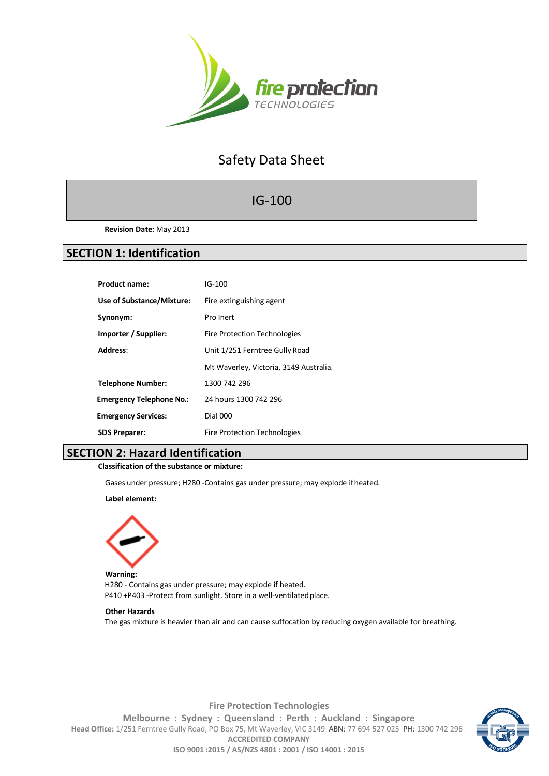

# Safety Data Sheet

## IG-100

**Revision Date**: May 2013

## **SECTION 1: Identification**

| <b>Product name:</b>            | $IG-100$                               |
|---------------------------------|----------------------------------------|
| Use of Substance/Mixture:       | Fire extinguishing agent               |
| Synonym:                        | Pro Inert                              |
| Importer / Supplier:            | <b>Fire Protection Technologies</b>    |
| Address:                        | Unit 1/251 Ferntree Gully Road         |
|                                 | Mt Waverley, Victoria, 3149 Australia. |
| <b>Telephone Number:</b>        | 1300 742 296                           |
| <b>Emergency Telephone No.:</b> | 24 hours 1300 742 296                  |
| <b>Emergency Services:</b>      | <b>Dial 000</b>                        |
| <b>SDS Preparer:</b>            | <b>Fire Protection Technologies</b>    |

## **SECTION 2: Hazard Identification**

**Classification of the substance or mixture:**

Gases under pressure; H280 -Contains gas under pressure; may explode ifheated.

**Label element:**



**Warning:** H280 - Contains gas under pressure; may explode if heated. P410 +P403 -Protect from sunlight. Store in a well-ventilated place.

#### **Other Hazards**

The gas mixture is heavier than air and can cause suffocation by reducing oxygen available for breathing.



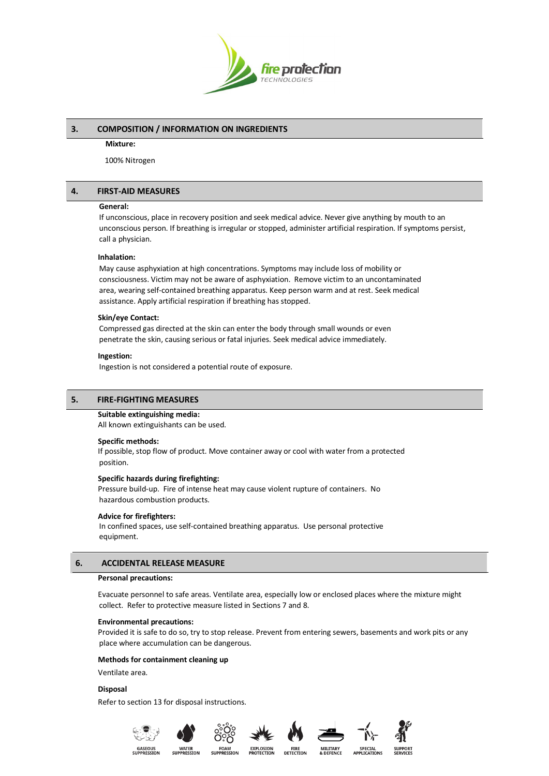

## **3. COMPOSITION / INFORMATION ON INGREDIENTS**

#### **Mixture:**

100% Nitrogen

## **4. FIRST-AID MEASURES**

### **General:**

If unconscious, place in recovery position and seek medical advice. Never give anything by mouth to an unconscious person. If breathing is irregular or stopped, administer artificial respiration. If symptoms persist, call a physician.

## **Inhalation:**

May cause asphyxiation at high concentrations. Symptoms may include loss of mobility or consciousness. Victim may not be aware of asphyxiation. Remove victim to an uncontaminated area, wearing self-contained breathing apparatus. Keep person warm and at rest. Seek medical assistance. Apply artificial respiration if breathing has stopped.

## **Skin/eye Contact:**

Compressed gas directed at the skin can enter the body through small wounds or even penetrate the skin, causing serious or fatal injuries. Seek medical advice immediately.

#### **Ingestion:**

Ingestion is not considered a potential route of exposure.

## **5. FIRE-FIGHTING MEASURES**

#### **Suitable extinguishing media:**

All known extinguishants can be used.

#### **Specific methods:**

If possible, stop flow of product. Move container away or cool with water from a protected position.

#### **Specific hazards during firefighting:**

Pressure build-up. Fire of intense heat may cause violent rupture of containers. No hazardous combustion products.

#### **Advice for firefighters:**

In confined spaces, use self-contained breathing apparatus. Use personal protective equipment.

## **6. ACCIDENTAL RELEASE MEASURE**

#### **Personal precautions:**

Evacuate personnel to safe areas. Ventilate area, especially low or enclosed places where the mixture might collect. Refer to protective measure listed in Sections 7 and 8.

#### **Environmental precautions:**

Provided it is safe to do so, try to stop release. Prevent from entering sewers, basements and work pits or any place where accumulation can be dangerous.

**FIRE**<br>DETECTIOI

#### **Methods for containment cleaning up**

Ventilate area.

## **Disposal**

Refer to section 13 for disposal instructions.











SPECIA<br>APPLICATI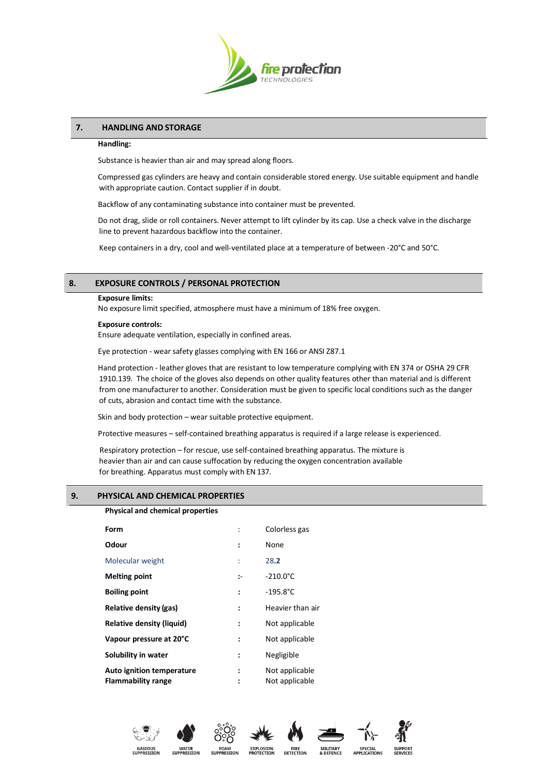

## **7. HANDLING AND STORAGE**

#### **Handling:**

Substance is heavier than air and may spread along floors.

Compressed gas cylinders are heavy and contain considerable stored energy. Use suitable equipment and handle with appropriate caution. Contact supplier if in doubt.

Backflow of any contaminating substance into container must be prevented.

Do not drag, slide or roll containers. Never attempt to lift cylinder by its cap. Use a check valve in the discharge line to prevent hazardous backflow into the container.

Keep containers in a dry, cool and well-ventilated place at a temperature of between -20°C and 50°C.

## **8. EXPOSURE CONTROLS / PERSONAL PROTECTION**

#### **Exposure limits:**

No exposure limit specified, atmosphere must have a minimum of 18% free oxygen.

### **Exposure controls:**

Ensure adequate ventilation, especially in confined areas.

Eye protection - wear safety glasses complying with EN 166 or ANSI Z87.1

Hand protection - leather gloves that are resistant to low temperature complying with EN 374 or OSHA 29 CFR 1910.139. The choice of the gloves also depends on other quality features other than material and is different from one manufacturer to another. Consideration must be given to specific local conditions such as the danger of cuts, abrasion and contact time with the substance.

Skin and body protection – wear suitable protective equipment.

Protective measures – self-contained breathing apparatus is required if a large release is experienced.

Respiratory protection – for rescue, use self-contained breathing apparatus. The mixture is heavier than air and can cause suffocation by reducing the oxygen concentration available for breathing. Apparatus must comply with EN 137.

## **9. PHYSICAL AND CHEMICAL PROPERTIES**

| <b>Physical and chemical properties</b>                |              |                                  |
|--------------------------------------------------------|--------------|----------------------------------|
| Form                                                   |              | Colorless gas                    |
| Odour                                                  | ÷            | None                             |
| Molecular weight                                       | t            | 28.2                             |
| <b>Melting point</b>                                   | $\mathbf{L}$ | $-210.0^{\circ}$ C               |
| <b>Boiling point</b>                                   | ÷            | $-195.8^{\circ}$ C               |
| Relative density (gas)                                 | :            | Heavier than air                 |
| <b>Relative density (liquid)</b>                       | :            | Not applicable                   |
| Vapour pressure at 20°C                                | :            | Not applicable                   |
| Solubility in water                                    | :            | Negligible                       |
| Auto ignition temperature<br><b>Flammability range</b> |              | Not applicable<br>Not applicable |











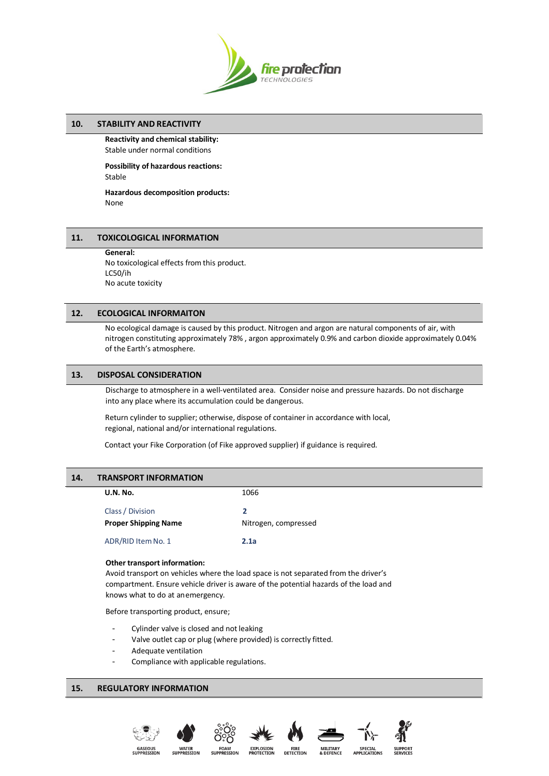

## **10. STABILITY AND REACTIVITY**

**Reactivity and chemical stability:** Stable under normal conditions

**Possibility of hazardous reactions:** Stable

**Hazardous decomposition products:** None

## **11. TOXICOLOGICAL INFORMATION**

**General:** No toxicological effects from this product. LC50/ih No acute toxicity

## **12. ECOLOGICAL INFORMAITON**

No ecological damage is caused by this product. Nitrogen and argon are natural components of air, with nitrogen constituting approximately 78% , argon approximately 0.9% and carbon dioxide approximately 0.04% of the Earth's atmosphere.

## **13. DISPOSAL CONSIDERATION**

Discharge to atmosphere in a well-ventilated area. Consider noise and pressure hazards. Do not discharge into any place where its accumulation could be dangerous.

Return cylinder to supplier; otherwise, dispose of container in accordance with local, regional, national and/or international regulations.

Contact your Fike Corporation (of Fike approved supplier) if guidance is required.

## **14. TRANSPORT INFORMATION**

| <b>U.N. No.</b>             | 1066                     |
|-----------------------------|--------------------------|
| Class / Division            | $\overline{\phantom{a}}$ |
| <b>Proper Shipping Name</b> | Nitrogen, compressed     |
| ADR/RID Item No. 1          | 2.1a                     |

#### **Other transport information:**

Avoid transport on vehicles where the load space is not separated from the driver's compartment. Ensure vehicle driver is aware of the potential hazards of the load and knows what to do at anemergency.

Before transporting product, ensure;

- Cylinder valve is closed and not leaking
- Valve outlet cap or plug (where provided) is correctly fitted.
- Adequate ventilation
- Compliance with applicable regulations.

## **15. REGULATORY INFORMATION**